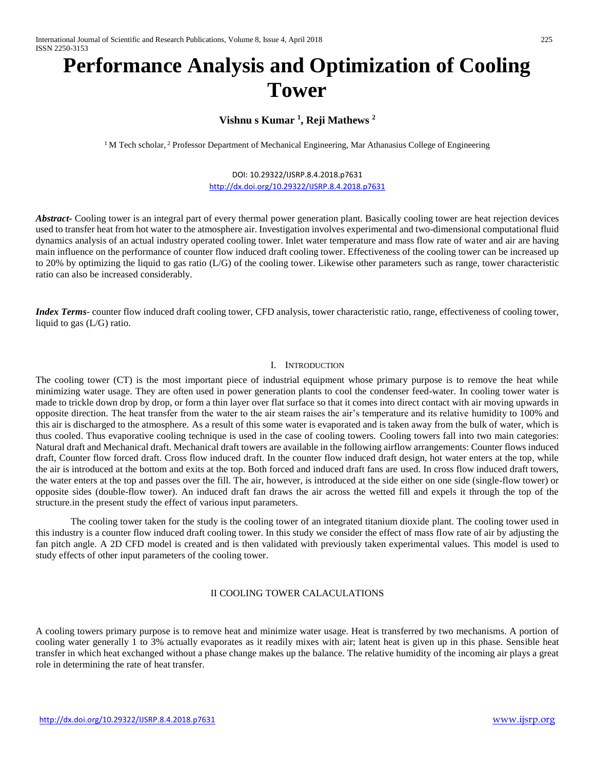# **Performance Analysis and Optimization of Cooling Tower**

## **Vishnu s Kumar <sup>1</sup> , Reji Mathews <sup>2</sup>**

<sup>1</sup>M Tech scholar, <sup>2</sup> Professor Department of Mechanical Engineering, Mar Athanasius College of Engineering

# DOI: 10.29322/IJSRP.8.4.2018.p7631

<http://dx.doi.org/10.29322/IJSRP.8.4.2018.p7631>

*Abstract***-** Cooling tower is an integral part of every thermal power generation plant. Basically cooling tower are heat rejection devices used to transfer heat from hot water to the atmosphere air. Investigation involves experimental and two-dimensional computational fluid dynamics analysis of an actual industry operated cooling tower. Inlet water temperature and mass flow rate of water and air are having main influence on the performance of counter flow induced draft cooling tower. Effectiveness of the cooling tower can be increased up to 20% by optimizing the liquid to gas ratio (L/G) of the cooling tower. Likewise other parameters such as range, tower characteristic ratio can also be increased considerably.

*Index Terms*- counter flow induced draft cooling tower, CFD analysis, tower characteristic ratio, range, effectiveness of cooling tower, liquid to gas (L/G) ratio.

#### I. INTRODUCTION

The cooling tower (CT) is the most important piece of industrial equipment whose primary purpose is to remove the heat while minimizing water usage. They are often used in power generation plants to cool the condenser feed-water. In cooling tower water is made to trickle down drop by drop, or form a thin layer over flat surface so that it comes into direct contact with air moving upwards in opposite direction. The heat transfer from the water to the air steam raises the air's temperature and its relative humidity to 100% and this air is discharged to the atmosphere. As a result of this some water is evaporated and is taken away from the bulk of water, which is thus cooled. Thus evaporative cooling technique is used in the case of cooling towers. Cooling towers fall into two main categories: Natural draft and Mechanical draft. Mechanical draft towers are available in the following airflow arrangements: Counter flows induced draft, Counter flow forced draft. Cross flow induced draft. In the counter flow induced draft design, hot water enters at the top, while the air is introduced at the bottom and exits at the top. Both forced and induced draft fans are used. In cross flow induced draft towers, the water enters at the top and passes over the fill. The air, however, is introduced at the side either on one side (single-flow tower) or opposite sides (double-flow tower). An induced draft fan draws the air across the wetted fill and expels it through the top of the structure.in the present study the effect of various input parameters.

The cooling tower taken for the study is the cooling tower of an integrated titanium dioxide plant. The cooling tower used in this industry is a counter flow induced draft cooling tower. In this study we consider the effect of mass flow rate of air by adjusting the fan pitch angle. A 2D CFD model is created and is then validated with previously taken experimental values. This model is used to study effects of other input parameters of the cooling tower.

### II COOLING TOWER CALACULATIONS

A cooling towers primary purpose is to remove heat and minimize water usage. Heat is transferred by two mechanisms. A portion of cooling water generally 1 to 3% actually evaporates as it readily mixes with air; latent heat is given up in this phase. Sensible heat transfer in which heat exchanged without a phase change makes up the balance. The relative humidity of the incoming air plays a great role in determining the rate of heat transfer.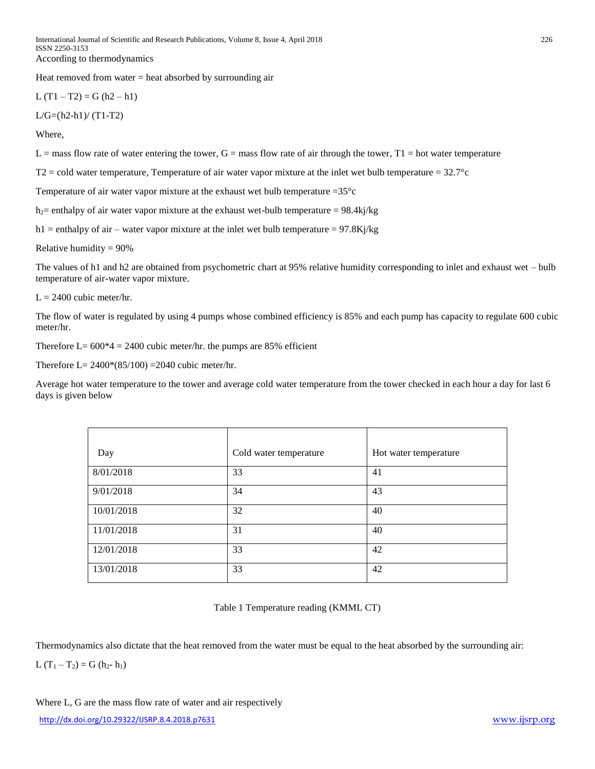International Journal of Scientific and Research Publications, Volume 8, Issue 4, April 2018 226 ISSN 2250-3153 According to thermodynamics

Heat removed from water  $=$  heat absorbed by surrounding air

L  $(T1 - T2) = G(h2 - h1)$ 

 $L/G=(h2-h1)/(T1-T2)$ 

Where,

 $L =$  mass flow rate of water entering the tower,  $G =$  mass flow rate of air through the tower,  $T1 =$  hot water temperature

 $T2$  = cold water temperature, Temperature of air water vapor mixture at the inlet wet bulb temperature =  $32.7^{\circ}c$ 

Temperature of air water vapor mixture at the exhaust wet bulb temperature  $=35^{\circ}c$ 

h<sub>2</sub> enthalpy of air water vapor mixture at the exhaust wet-bulb temperature = 98.4kj/kg

h1 = enthalpy of air – water vapor mixture at the inlet wet bulb temperature =  $97.8Kj/kg$ 

Relative humidity  $= 90\%$ 

The values of h1 and h2 are obtained from psychometric chart at 95% relative humidity corresponding to inlet and exhaust wet – bulb temperature of air-water vapor mixture.

 $L = 2400$  cubic meter/hr.

The flow of water is regulated by using 4 pumps whose combined efficiency is 85% and each pump has capacity to regulate 600 cubic meter/hr.

Therefore L=  $600*4 = 2400$  cubic meter/hr. the pumps are 85% efficient

Therefore L=  $2400*(85/100) = 2040$  cubic meter/hr.

Average hot water temperature to the tower and average cold water temperature from the tower checked in each hour a day for last 6 days is given below

| Day        | Cold water temperature | Hot water temperature |
|------------|------------------------|-----------------------|
| 8/01/2018  | 33                     | 41                    |
| 9/01/2018  | 34                     | 43                    |
| 10/01/2018 | 32                     | 40                    |
| 11/01/2018 | 31                     | 40                    |
| 12/01/2018 | 33                     | 42                    |
| 13/01/2018 | 33                     | 42                    |

Table 1 Temperature reading (KMML CT)

Thermodynamics also dictate that the heat removed from the water must be equal to the heat absorbed by the surrounding air:

L  $(T_1 - T_2) = G (h_2 - h_1)$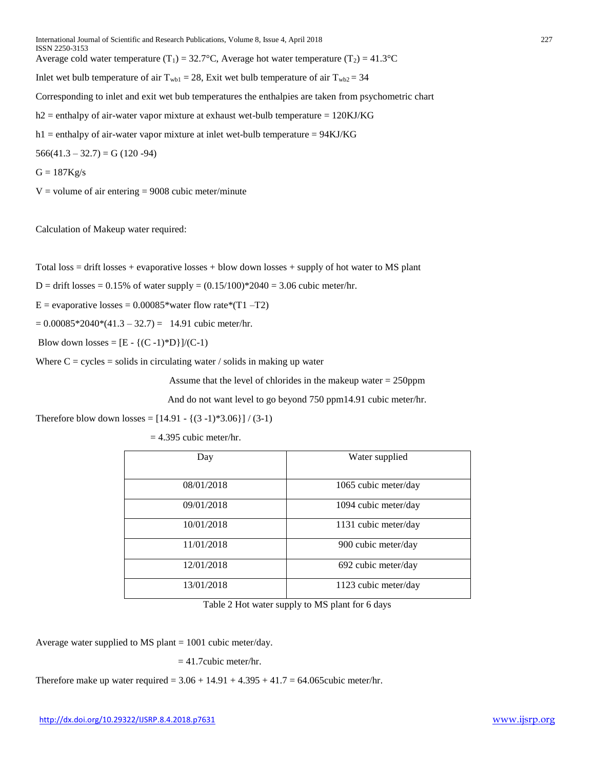International Journal of Scientific and Research Publications, Volume 8, Issue 4, April 2018 227 ISSN 2250-3153 Average cold water temperature (T<sub>1</sub>) = 32.7°C, Average hot water temperature (T<sub>2</sub>) = 41.3°C Inlet wet bulb temperature of air  $T_{wb1} = 28$ , Exit wet bulb temperature of air  $T_{wb2} = 34$ Corresponding to inlet and exit wet bub temperatures the enthalpies are taken from psychometric chart  $h2$  = enthalpy of air-water vapor mixture at exhaust wet-bulb temperature = 120KJ/KG  $h1$  = enthalpy of air-water vapor mixture at inlet wet-bulb temperature = 94KJ/KG  $566(41.3 - 32.7) = G(120 - 94)$  $G = 187Kg/s$ 

 $V =$  volume of air entering  $= 9008$  cubic meter/minute

Calculation of Makeup water required:

Total loss = drift losses + evaporative losses + blow down losses + supply of hot water to MS plant

 $D =$  drift losses = 0.15% of water supply =  $(0.15/100)$  \*2040 = 3.06 cubic meter/hr.

E = evaporative losses =  $0.00085$ \*water flow rate\*(T1 –T2)

 $= 0.00085*2040*(41.3 - 32.7) = 14.91$  cubic meter/hr.

Blow down losses =  $[E - {(C - 1)*D}]/(C-1)$ 

Where  $C = cycles = solids$  in circulating water / solids in making up water

Assume that the level of chlorides in the makeup water = 250ppm

And do not want level to go beyond 750 ppm14.91 cubic meter/hr.

Therefore blow down losses =  $[14.91 - {(3-1)*3.06}] / (3-1)$ 

 $= 4.395$  cubic meter/hr.

| Day        | Water supplied       |
|------------|----------------------|
|            |                      |
| 08/01/2018 | 1065 cubic meter/day |
| 09/01/2018 | 1094 cubic meter/day |
| 10/01/2018 | 1131 cubic meter/day |
| 11/01/2018 | 900 cubic meter/day  |
| 12/01/2018 | 692 cubic meter/day  |
| 13/01/2018 | 1123 cubic meter/day |

Table 2 Hot water supply to MS plant for 6 days

Average water supplied to MS plant = 1001 cubic meter/day.

 $= 41.7$ cubic meter/hr.

Therefore make up water required =  $3.06 + 14.91 + 4.395 + 41.7 = 64.065$ cubic meter/hr.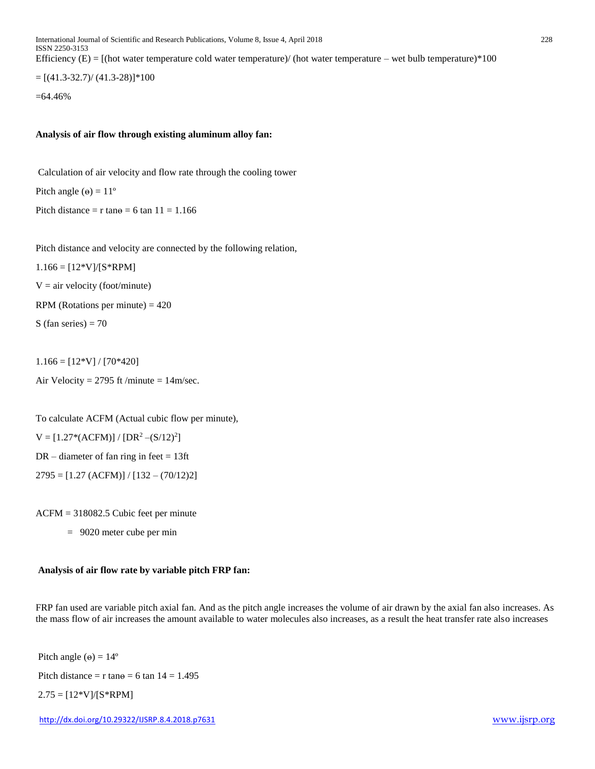International Journal of Scientific and Research Publications, Volume 8, Issue 4, April 2018 228 ISSN 2250-3153 Efficiency  $(E) = [$ (hot water temperature cold water temperature)/ (hot water temperature – wet bulb temperature)\*100  $= [(41.3-32.7)/(41.3-28)]*100$ =64.46%

#### **Analysis of air flow through existing aluminum alloy fan:**

Calculation of air velocity and flow rate through the cooling tower Pitch angle  $(\theta) = 11^{\circ}$ Pitch distance = r tan $\theta$  = 6 tan 11 = 1.166

Pitch distance and velocity are connected by the following relation,

 $1.166 = [12*V]/[S*RPM]$ 

 $V = air$  velocity (foot/minute)

RPM (Rotations per minute)  $= 420$ 

S (fan series)  $= 70$ 

 $1.166 = [12*V] / [70*420]$ Air Velocity =  $2795$  ft /minute =  $14$ m/sec.

To calculate ACFM (Actual cubic flow per minute),

 $V = [1.27*(ACFM)] / [DR<sup>2</sup> – (S/12)<sup>2</sup>]$ 

 $DR$  – diameter of fan ring in feet = 13ft

 $2795 = [1.27 (ACFM)] / [132 - (70/12)2]$ 

ACFM = 318082.5 Cubic feet per minute

= 9020 meter cube per min

#### **Analysis of air flow rate by variable pitch FRP fan:**

FRP fan used are variable pitch axial fan. And as the pitch angle increases the volume of air drawn by the axial fan also increases. As the mass flow of air increases the amount available to water molecules also increases, as a result the heat transfer rate also increases

Pitch angle  $(\theta) = 14^{\circ}$ 

Pitch distance =  $r \tan \theta = 6 \tan 14 = 1.495$ 

 $2.75 = [12*V]/[S*RPM]$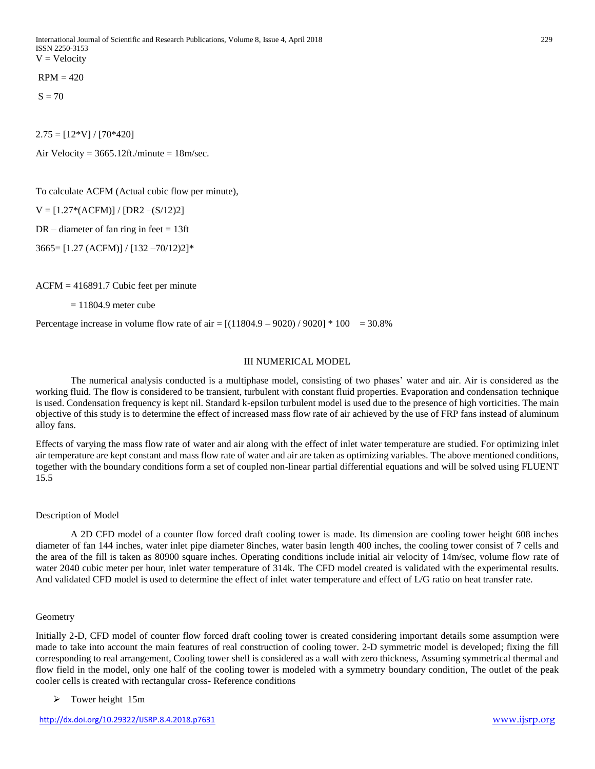$RPM = 420$ 

 $S = 70$ 

 $2.75 = [12*V]/[70*420]$ 

Air Velocity =  $3665.12$ ft./minute =  $18$ m/sec.

To calculate ACFM (Actual cubic flow per minute),

 $V = [1.27*(ACFM)] / [DR2-(S/12)2]$ 

 $DR$  – diameter of fan ring in feet = 13ft

3665= [1.27 (ACFM)] / [132 –70/12)2]\*

ACFM = 416891.7 Cubic feet per minute

 $= 11804.9$  meter cube

Percentage increase in volume flow rate of air =  $[(11804.9 - 9020) / 9020] * 100 = 30.8\%$ 

#### III NUMERICAL MODEL

The numerical analysis conducted is a multiphase model, consisting of two phases' water and air. Air is considered as the working fluid. The flow is considered to be transient, turbulent with constant fluid properties. Evaporation and condensation technique is used. Condensation frequency is kept nil. Standard k-epsilon turbulent model is used due to the presence of high vorticities. The main objective of this study is to determine the effect of increased mass flow rate of air achieved by the use of FRP fans instead of aluminum alloy fans.

Effects of varying the mass flow rate of water and air along with the effect of inlet water temperature are studied. For optimizing inlet air temperature are kept constant and mass flow rate of water and air are taken as optimizing variables. The above mentioned conditions, together with the boundary conditions form a set of coupled non-linear partial differential equations and will be solved using FLUENT 15.5

#### Description of Model

A 2D CFD model of a counter flow forced draft cooling tower is made. Its dimension are cooling tower height 608 inches diameter of fan 144 inches, water inlet pipe diameter 8inches, water basin length 400 inches, the cooling tower consist of 7 cells and the area of the fill is taken as 80900 square inches. Operating conditions include initial air velocity of 14m/sec, volume flow rate of water 2040 cubic meter per hour, inlet water temperature of 314k. The CFD model created is validated with the experimental results. And validated CFD model is used to determine the effect of inlet water temperature and effect of L/G ratio on heat transfer rate.

#### Geometry

Initially 2-D, CFD model of counter flow forced draft cooling tower is created considering important details some assumption were made to take into account the main features of real construction of cooling tower. 2-D symmetric model is developed; fixing the fill corresponding to real arrangement, Cooling tower shell is considered as a wall with zero thickness, Assuming symmetrical thermal and flow field in the model, only one half of the cooling tower is modeled with a symmetry boundary condition, The outlet of the peak cooler cells is created with rectangular cross- Reference conditions

#### ➢ Tower height 15m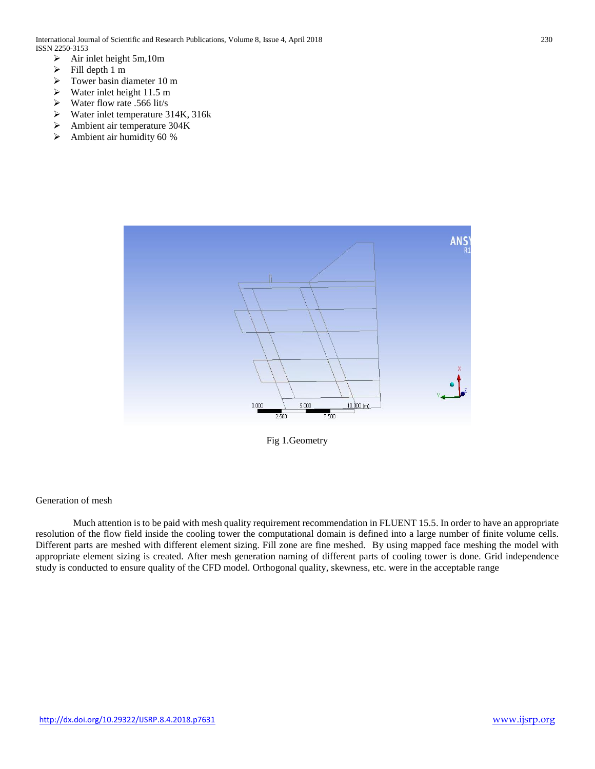- $\triangleright$  Air inlet height 5m, 10m
- $\triangleright$  Fill depth 1 m
- ➢ Tower basin diameter 10 m
- $\triangleright$  Water inlet height 11.5 m
- $\triangleright$  Water flow rate .566 lit/s
- ➢ Water inlet temperature 314K, 316k
- ➢ Ambient air temperature 304K
- ➢ Ambient air humidity 60 %



Fig 1.Geometry

#### Generation of mesh

Much attention is to be paid with mesh quality requirement recommendation in FLUENT 15.5. In order to have an appropriate resolution of the flow field inside the cooling tower the computational domain is defined into a large number of finite volume cells. Different parts are meshed with different element sizing. Fill zone are fine meshed. By using mapped face meshing the model with appropriate element sizing is created. After mesh generation naming of different parts of cooling tower is done. Grid independence study is conducted to ensure quality of the CFD model. Orthogonal quality, skewness, etc. were in the acceptable range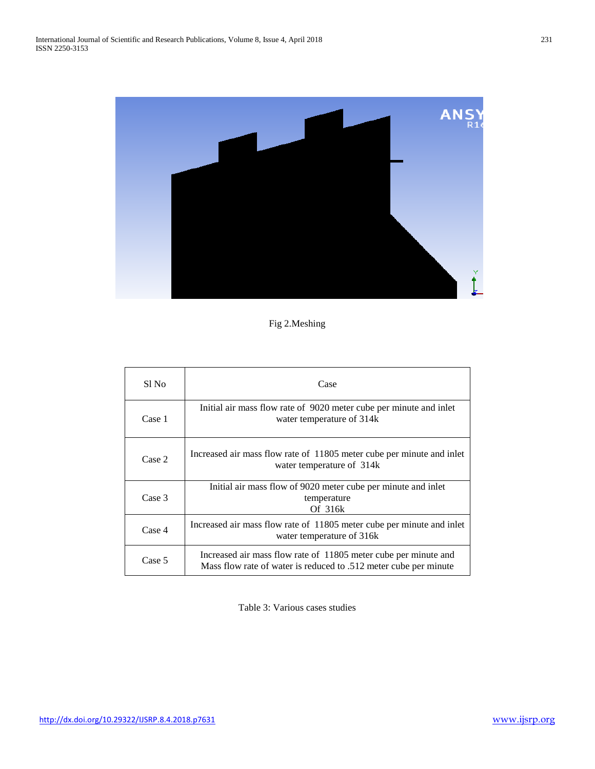

# Fig 2.Meshing

| Sl No  | Case                                                                                                                                |
|--------|-------------------------------------------------------------------------------------------------------------------------------------|
| Case 1 | Initial air mass flow rate of 9020 meter cube per minute and inlet<br>water temperature of 314k                                     |
| Case 2 | Increased air mass flow rate of 11805 meter cube per minute and inlet<br>water temperature of 314k                                  |
| Case 3 | Initial air mass flow of 9020 meter cube per minute and inlet<br>temperature<br>Of 316k                                             |
| Case 4 | Increased air mass flow rate of 11805 meter cube per minute and inlet<br>water temperature of 316k                                  |
| Case 5 | Increased air mass flow rate of 11805 meter cube per minute and<br>Mass flow rate of water is reduced to .512 meter cube per minute |

Table 3: Various cases studies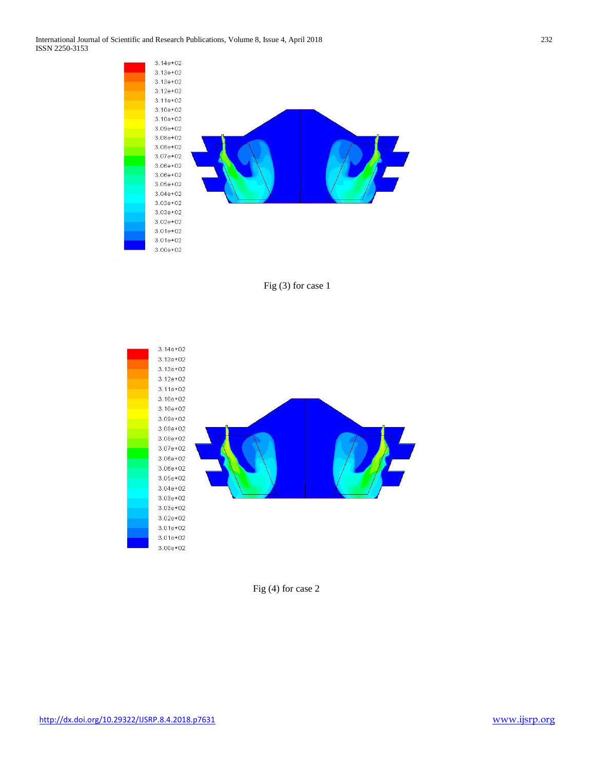International Journal of Scientific and Research Publications, Volume 8, Issue 4, April 2018 232 ISSN 2250-3153







Fig (4) for case 2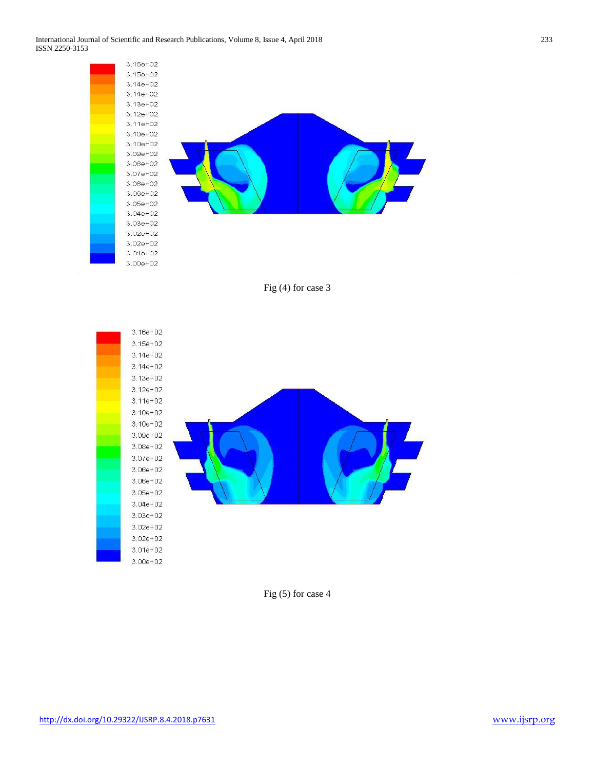

Fig (4) for case 3



Fig (5) for case 4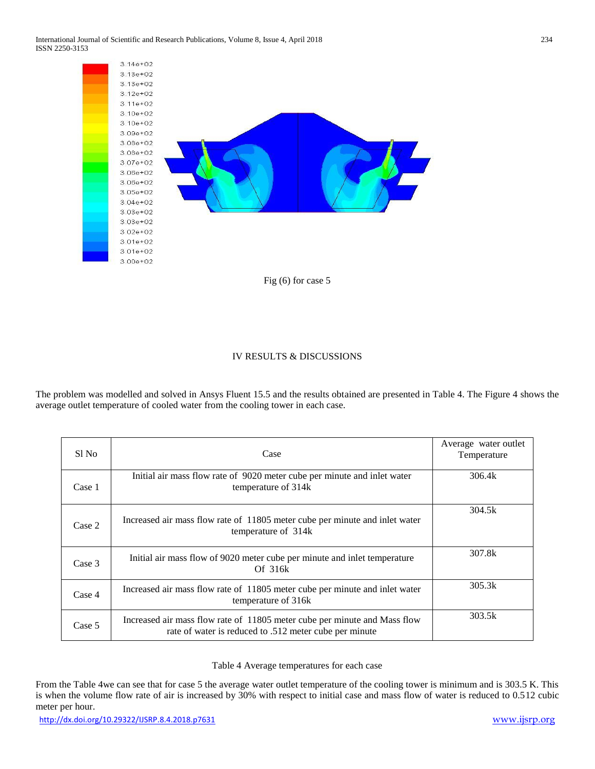

#### IV RESULTS & DISCUSSIONS

The problem was modelled and solved in Ansys Fluent 15.5 and the results obtained are presented in Table 4. The Figure 4 shows the average outlet temperature of cooled water from the cooling tower in each case.

| Sl No  | Case                                                                                                                                | Average water outlet<br>Temperature |
|--------|-------------------------------------------------------------------------------------------------------------------------------------|-------------------------------------|
| Case 1 | Initial air mass flow rate of 9020 meter cube per minute and inlet water<br>temperature of 314k                                     | 306.4k                              |
| Case 2 | Increased air mass flow rate of 11805 meter cube per minute and inlet water<br>temperature of 314k                                  | 304.5k                              |
| Case 3 | Initial air mass flow of 9020 meter cube per minute and inlet temperature<br>Of $316k$                                              | 307.8k                              |
| Case 4 | Increased air mass flow rate of 11805 meter cube per minute and inlet water<br>temperature of 316k                                  | 305.3k                              |
| Case 5 | Increased air mass flow rate of 11805 meter cube per minute and Mass flow<br>rate of water is reduced to .512 meter cube per minute | 303.5k                              |

#### Table 4 Average temperatures for each case

From the Table 4we can see that for case 5 the average water outlet temperature of the cooling tower is minimum and is 303.5 K. This is when the volume flow rate of air is increased by 30% with respect to initial case and mass flow of water is reduced to 0.512 cubic meter per hour.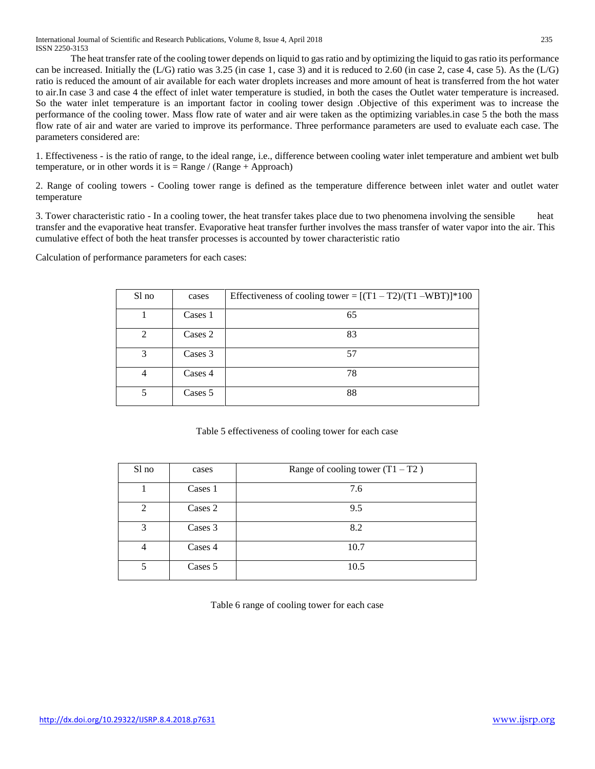International Journal of Scientific and Research Publications, Volume 8, Issue 4, April 2018 235 ISSN 2250-3153

The heat transfer rate of the cooling tower depends on liquid to gas ratio and by optimizing the liquid to gas ratio its performance can be increased. Initially the  $(L/G)$  ratio was 3.25 (in case 1, case 3) and it is reduced to 2.60 (in case 2, case 4, case 5). As the  $(L/G)$ ratio is reduced the amount of air available for each water droplets increases and more amount of heat is transferred from the hot water to air.In case 3 and case 4 the effect of inlet water temperature is studied, in both the cases the Outlet water temperature is increased. So the water inlet temperature is an important factor in cooling tower design .Objective of this experiment was to increase the performance of the cooling tower. Mass flow rate of water and air were taken as the optimizing variables.in case 5 the both the mass flow rate of air and water are varied to improve its performance. Three performance parameters are used to evaluate each case. The parameters considered are:

1. Effectiveness - is the ratio of range, to the ideal range, i.e., difference between cooling water inlet temperature and ambient wet bulb temperature, or in other words it is  $=$  Range / (Range + Approach)

2. Range of cooling towers - Cooling tower range is defined as the temperature difference between inlet water and outlet water temperature

3. Tower characteristic ratio - In a cooling tower, the heat transfer takes place due to two phenomena involving the sensible heat transfer and the evaporative heat transfer. Evaporative heat transfer further involves the mass transfer of water vapor into the air. This cumulative effect of both the heat transfer processes is accounted by tower characteristic ratio

Calculation of performance parameters for each cases:

| Sl no                       | cases   | Effectiveness of cooling tower = $[(T1 - T2)/(T1 - WBT)]*100$ |
|-----------------------------|---------|---------------------------------------------------------------|
|                             | Cases 1 | 65                                                            |
| $\mathcal{D}_{\mathcal{L}}$ | Cases 2 | 83                                                            |
| 3                           | Cases 3 | 57                                                            |
|                             | Cases 4 | 78                                                            |
|                             | Cases 5 | 88                                                            |

Table 5 effectiveness of cooling tower for each case

| Sl no                       | cases   | Range of cooling tower $(T1 - T2)$ |
|-----------------------------|---------|------------------------------------|
|                             | Cases 1 | 7.6                                |
| $\mathcal{D}_{\mathcal{A}}$ | Cases 2 | 9.5                                |
| 3                           | Cases 3 | 8.2                                |
| 4                           | Cases 4 | 10.7                               |
|                             | Cases 5 | 10.5                               |

Table 6 range of cooling tower for each case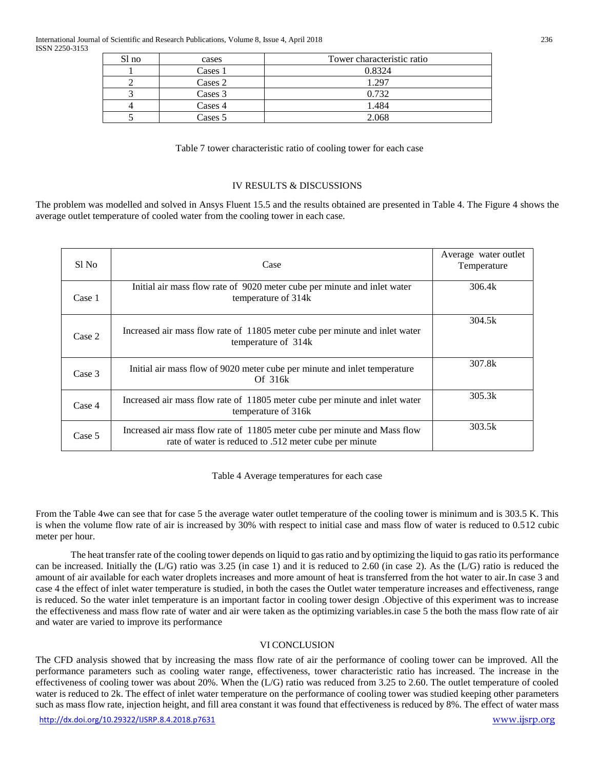| Sl no | cases   | Tower characteristic ratio |
|-------|---------|----------------------------|
|       | Cases 1 | 0.8324                     |
|       | Cases 2 | 1 297                      |
|       | Cases 3 | 0.732                      |
|       | Cases 4 | 1.484                      |
|       | Cases 5 | 2.068                      |

Table 7 tower characteristic ratio of cooling tower for each case

#### IV RESULTS & DISCUSSIONS

The problem was modelled and solved in Ansys Fluent 15.5 and the results obtained are presented in Table 4. The Figure 4 shows the average outlet temperature of cooled water from the cooling tower in each case.

| Sl No  | Case                                                                                                                                | Average water outlet<br>Temperature |
|--------|-------------------------------------------------------------------------------------------------------------------------------------|-------------------------------------|
| Case 1 | Initial air mass flow rate of 9020 meter cube per minute and inlet water<br>temperature of 314k                                     | 306.4k                              |
| Case 2 | Increased air mass flow rate of 11805 meter cube per minute and inlet water<br>temperature of 314k                                  | 304.5k                              |
| Case 3 | Initial air mass flow of 9020 meter cube per minute and inlet temperature<br>Of 316k                                                | 307.8k                              |
| Case 4 | Increased air mass flow rate of 11805 meter cube per minute and inlet water<br>temperature of 316k                                  | 305.3k                              |
| Case 5 | Increased air mass flow rate of 11805 meter cube per minute and Mass flow<br>rate of water is reduced to .512 meter cube per minute | 303.5k                              |

Table 4 Average temperatures for each case

From the Table 4we can see that for case 5 the average water outlet temperature of the cooling tower is minimum and is 303.5 K. This is when the volume flow rate of air is increased by 30% with respect to initial case and mass flow of water is reduced to 0.512 cubic meter per hour.

The heat transfer rate of the cooling tower depends on liquid to gas ratio and by optimizing the liquid to gas ratio its performance can be increased. Initially the  $(L/G)$  ratio was 3.25 (in case 1) and it is reduced to 2.60 (in case 2). As the  $(L/G)$  ratio is reduced the amount of air available for each water droplets increases and more amount of heat is transferred from the hot water to air.In case 3 and case 4 the effect of inlet water temperature is studied, in both the cases the Outlet water temperature increases and effectiveness, range is reduced. So the water inlet temperature is an important factor in cooling tower design .Objective of this experiment was to increase the effectiveness and mass flow rate of water and air were taken as the optimizing variables.in case 5 the both the mass flow rate of air and water are varied to improve its performance

#### VI CONCLUSION

The CFD analysis showed that by increasing the mass flow rate of air the performance of cooling tower can be improved. All the performance parameters such as cooling water range, effectiveness, tower characteristic ratio has increased. The increase in the effectiveness of cooling tower was about 20%. When the  $(L/G)$  ratio was reduced from 3.25 to 2.60. The outlet temperature of cooled water is reduced to 2k. The effect of inlet water temperature on the performance of cooling tower was studied keeping other parameters such as mass flow rate, injection height, and fill area constant it was found that effectiveness is reduced by 8%. The effect of water mass